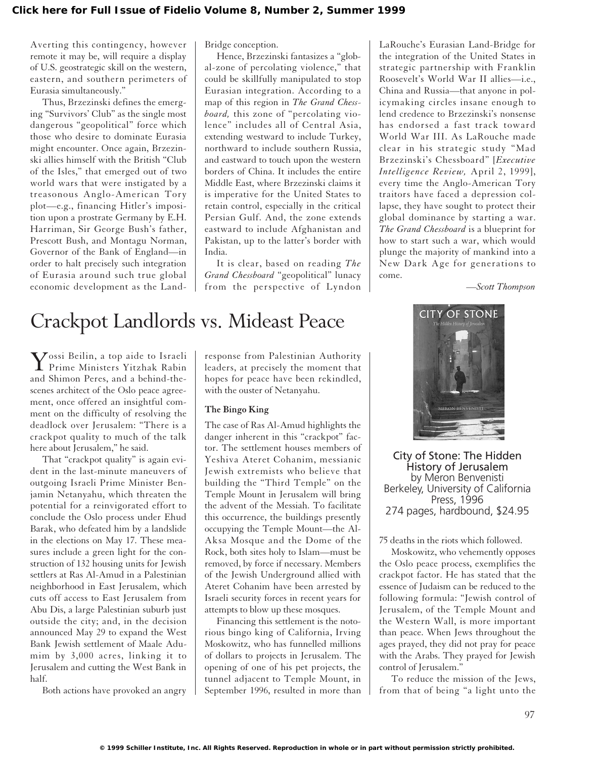Averting this contingency, however remote it may be, will require a display of U.S. geostrategic skill on the western, eastern, and southern perimeters of Eurasia simultaneously."

Thus, Brzezinski defines the emerging "Survivors' Club" as the single most dangerous "geopolitical" force which those who desire to dominate Eurasia might encounter. Once again, Brzezinski allies himself with the British "Club of the Isles," that emerged out of two world wars that were instigated by a treasonous Anglo-American Tory plot—e.g., financing Hitler's imposition upon a prostrate Germany by E.H. Harriman, Sir George Bush's father, Prescott Bush, and Montagu Norman, Governor of the Bank of England—in order to halt precisely such integration of Eurasia around such true global economic development as the LandBridge conception.

Hence, Brzezinski fantasizes a "global-zone of percolating violence," that could be skillfully manipulated to stop Eurasian integration. According to a map of this region in *The Grand Chessboard,* this zone of "percolating violence" includes all of Central Asia, extending westward to include Turkey, northward to include southern Russia, and eastward to touch upon the western borders of China. It includes the entire Middle East, where Brzezinski claims it is imperative for the United States to retain control, especially in the critical Persian Gulf. And, the zone extends eastward to include Afghanistan and Pakistan, up to the latter's border with India.

It is clear, based on reading *The Grand Chessboard* "geopolitical" lunacy from the perspective of Lyndon

LaRouche's Eurasian Land-Bridge for the integration of the United States in strategic partnership with Franklin Roosevelt's World War II allies—i.e., China and Russia—that anyone in policymaking circles insane enough to lend credence to Brzezinski's nonsense has endorsed a fast track toward World War III. As LaRouche made clear in his strategic study "Mad Brzezinski's Chessboard" [*Executive Intelligence Review,* April 2, 1999], every time the Anglo-American Tory traitors have faced a depression collapse, they have sought to protect their global dominance by starting a war. *The Grand Chessboard* is a blueprint for how to start such a war, which would plunge the majority of mankind into a New Dark Age for generations to come.

*—Scott Thompson*

# Crackpot Landlords vs. Mideast Peace

Yossi Beilin, a top aide to Israeli Prime Ministers Yitzhak Rabin and Shimon Peres, and a behind-thescenes architect of the Oslo peace agreement, once offered an insightful comment on the difficulty of resolving the deadlock over Jerusalem: "There is a crackpot quality to much of the talk here about Jerusalem," he said.

That "crackpot quality" is again evident in the last-minute maneuvers of outgoing Israeli Prime Minister Benjamin Netanyahu, which threaten the potential for a reinvigorated effort to conclude the Oslo process under Ehud Barak, who defeated him by a landslide in the elections on May 17. These measures include a green light for the construction of 132 housing units for Jewish settlers at Ras Al-Amud in a Palestinian neighborhood in East Jerusalem, which cuts off access to East Jerusalem from Abu Dis, a large Palestinian suburb just outside the city; and, in the decision announced May 29 to expand the West Bank Jewish settlement of Maale Adumim by 3,000 acres, linking it to Jerusalem and cutting the West Bank in half.

Both actions have provoked an angry

response from Palestinian Authority leaders, at precisely the moment that hopes for peace have been rekindled, with the ouster of Netanyahu.

## **The Bingo King**

The case of Ras Al-Amud highlights the danger inherent in this "crackpot" factor. The settlement houses members of Yeshiva Ateret Cohanim, messianic Jewish extremists who believe that building the "Third Temple" on the Temple Mount in Jerusalem will bring the advent of the Messiah. To facilitate this occurrence, the buildings presently occupying the Temple Mount—the Al-Aksa Mosque and the Dome of the Rock, both sites holy to Islam—must be removed, by force if necessary. Members of the Jewish Underground allied with Ateret Cohanim have been arrested by Israeli security forces in recent years for attempts to blow up these mosques.

Financing this settlement is the notorious bingo king of California, Irving Moskowitz, who has funnelled millions of dollars to projects in Jerusalem. The opening of one of his pet projects, the tunnel adjacent to Temple Mount, in September 1996, resulted in more than



City of Stone: The Hidden History of Jerusalem by Meron Benvenisti Berkeley, University of California Press, 1996 274 pages, hardbound, \$24.95

75 deaths in the riots which followed.

Moskowitz, who vehemently opposes the Oslo peace process, exemplifies the crackpot factor. He has stated that the essence of Judaism can be reduced to the following formula: "Jewish control of Jerusalem, of the Temple Mount and the Western Wall, is more important than peace. When Jews throughout the ages prayed, they did not pray for peace with the Arabs. They prayed for Jewish control of Jerusalem.'

To reduce the mission of the Jews, from that of being "a light unto the